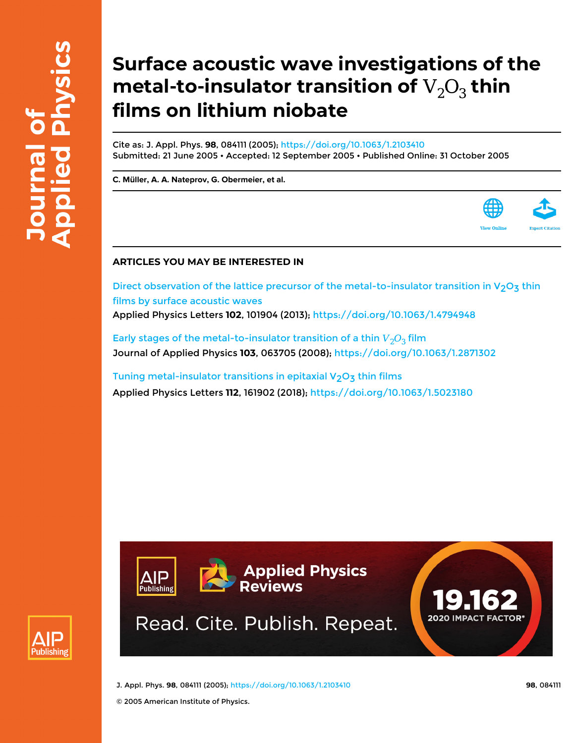# **Surface acoustic wave investigations of the** metal-to-insulator transition of  $\mathrm{V}_2\mathrm{O}_3$  thin **films on lithium niobate**

Cite as: J. Appl. Phys. **98**, 084111 (2005);<https://doi.org/10.1063/1.2103410> Submitted: 21 June 2005 • Accepted: 12 September 2005 • Published Online: 31 October 2005

**[C. Müller](https://aip.scitation.org/author/M%C3%BCller%2C+C), [A. A. Nateprov](https://aip.scitation.org/author/Nateprov%2C+A+A), [G. Obermeier,](https://aip.scitation.org/author/Obermeier%2C+G) et al.**



Direct observation of the lattice precursor of the metal-to-insulator transition in  $V_2O_3$  thin [films by surface acoustic waves](https://aip.scitation.org/doi/10.1063/1.4794948) Applied Physics Letters **102**, 101904 (2013);<https://doi.org/10.1063/1.4794948>

Early stages of the metal-to-insulator transition of a thin  $V_2O_3$  film Journal of Applied Physics **103**, 063705 (2008);<https://doi.org/10.1063/1.2871302>

Tuning metal-insulator transitions in epitaxial  $V_2O_3$  thin films Applied Physics Letters **112**, 161902 (2018); <https://doi.org/10.1063/1.5023180>





J. Appl. Phys. **98**, 084111 (2005); <https://doi.org/10.1063/1.2103410> **98**, 084111

© 2005 American Institute of Physics.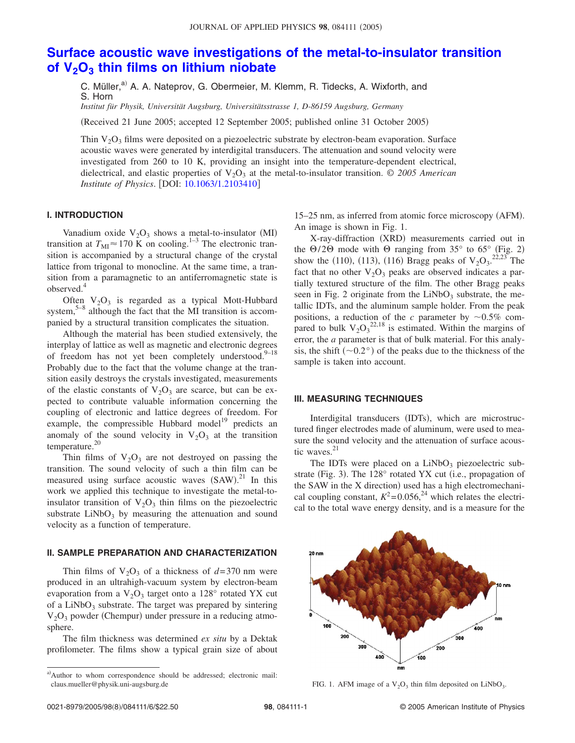# **[Surface acoustic wave investigations of the metal-to-insulator transition](http://dx.doi.org/10.1063/1.2103410) of V2O3 [thin films on lithium niobate](http://dx.doi.org/10.1063/1.2103410)**

C. Müller,<sup>a)</sup> A. A. Nateprov, G. Obermeier, M. Klemm, R. Tidecks, A. Wixforth, and S. Horn

*Institut für Physik, Universität Augsburg, Universitätsstrasse 1, D-86159 Augsburg, Germany*

Received 21 June 2005; accepted 12 September 2005; published online 31 October 2005-

Thin  $V_2O_3$  films were deposited on a piezoelectric substrate by electron-beam evaporation. Surface acoustic waves were generated by interdigital transducers. The attenuation and sound velocity were investigated from 260 to 10 K, providing an insight into the temperature-dependent electrical, dielectrical, and elastic properties of  $V_2O_3$  at the metal-to-insulator transition.  $\odot$  2005 American *Institute of Physics.* [DOI: [10.1063/1.2103410](http://dx.doi.org/10.1063/1.2103410)]

### **I. INTRODUCTION**

Vanadium oxide  $V_2O_3$  shows a metal-to-insulator (MI) transition at  $T_{\text{MI}} \approx 170 \text{ K}$  on cooling.<sup>1–3</sup> The electronic transition is accompanied by a structural change of the crystal lattice from trigonal to monocline. At the same time, a transition from a paramagnetic to an antiferromagnetic state is observed.4

Often  $V_2O_3$  is regarded as a typical Mott-Hubbard system, $5-8$  although the fact that the MI transition is accompanied by a structural transition complicates the situation.

Although the material has been studied extensively, the interplay of lattice as well as magnetic and electronic degrees of freedom has not yet been completely understood. $9-18$ Probably due to the fact that the volume change at the transition easily destroys the crystals investigated, measurements of the elastic constants of  $V_2O_3$  are scarce, but can be expected to contribute valuable information concerning the coupling of electronic and lattice degrees of freedom. For example, the compressible Hubbard model<sup>19</sup> predicts an anomaly of the sound velocity in  $V_2O_3$  at the transition temperature. $20$ 

Thin films of  $V_2O_3$  are not destroyed on passing the transition. The sound velocity of such a thin film can be measured using surface acoustic waves  $(SAW)^{21}$  In this work we applied this technique to investigate the metal-toinsulator transition of  $V_2O_3$  thin films on the piezoelectric substrate  $LiNbO<sub>3</sub>$  by measuring the attenuation and sound velocity as a function of temperature.

## **II. SAMPLE PREPARATION AND CHARACTERIZATION**

Thin films of  $V_2O_3$  of a thickness of  $d=370$  nm were produced in an ultrahigh-vacuum system by electron-beam evaporation from a  $V_2O_3$  target onto a 128° rotated YX cut of a  $LiNbO<sub>3</sub>$  substrate. The target was prepared by sintering  $V<sub>2</sub>O<sub>3</sub>$  powder (Chempur) under pressure in a reducing atmosphere.

The film thickness was determined *ex situ* by a Dektak profilometer. The films show a typical grain size of about

15-25 nm, as inferred from atomic force microscopy (AFM). An image is shown in Fig. 1.

X-ray-diffraction (XRD) measurements carried out in the  $\Theta$ /2 $\Theta$  mode with  $\Theta$  ranging from 35° to 65° (Fig. 2) show the (110), (113), (116) Bragg peaks of  $V_2O_3$ <sup>2,23</sup> The fact that no other  $V_2O_3$  peaks are observed indicates a partially textured structure of the film. The other Bragg peaks seen in Fig. 2 originate from the  $LiNbO<sub>3</sub>$  substrate, the metallic IDTs, and the aluminum sample holder. From the peak positions, a reduction of the *c* parameter by  $\sim 0.5\%$  compared to bulk  $V_2O_3^{22,18}$  is estimated. Within the margins of error, the *a* parameter is that of bulk material. For this analysis, the shift  $(\sim 0.2^{\circ})$  of the peaks due to the thickness of the sample is taken into account.

#### **III. MEASURING TECHNIQUES**

Interdigital transducers (IDTs), which are microstructured finger electrodes made of aluminum, were used to measure the sound velocity and the attenuation of surface acoustic waves.<sup>21</sup>

The IDTs were placed on a  $LiNbO<sub>3</sub>$  piezoelectric substrate (Fig. 3). The 128° rotated YX cut (i.e., propagation of the SAW in the X direction) used has a high electromechanical coupling constant,  $K^2 = 0.056$ , <sup>24</sup> which relates the electrical to the total wave energy density, and is a measure for the



a)Author to whom correspondence should be addressed; electronic mail: claus.mueller@physik.uni-augsburg.de FIG. 1. AFM image of a  $V_2O_3$  thin film deposited on LiNbO<sub>3</sub>.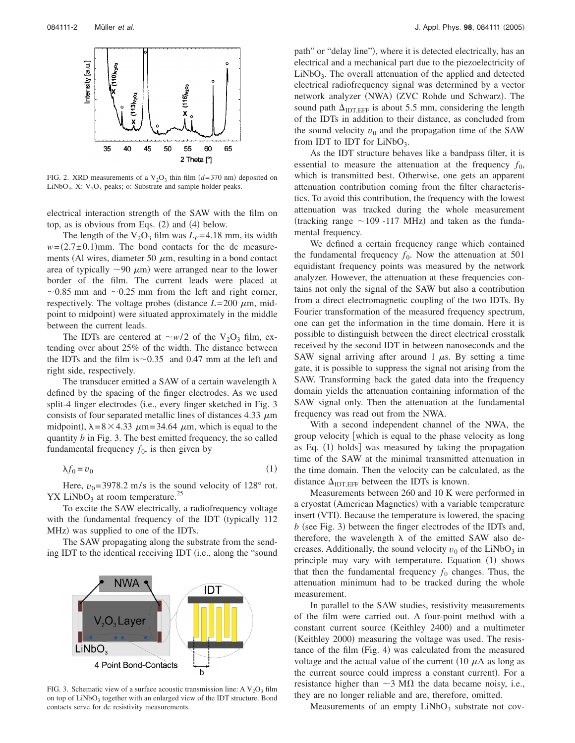

FIG. 2. XRD measurements of a  $V_2O_3$  thin film  $(d=370 \text{ nm})$  deposited on LiNbO<sub>3</sub>. X:  $V_2O_3$  peaks; o: Substrate and sample holder peaks.

electrical interaction strength of the SAW with the film on top, as is obvious from Eqs.  $(2)$  and  $(4)$  below.

The length of the  $V_2O_3$  film was  $L_F$ =4.18 mm, its width  $w = (2.7 \pm 0.1)$ mm. The bond contacts for the dc measurements (Al wires, diameter 50  $\mu$ m, resulting in a bond contact area of typically  $\sim$ 90  $\mu$ m) were arranged near to the lower border of the film. The current leads were placed at  $\sim$ 0.85 mm and  $\sim$ 0.25 mm from the left and right corner, respectively. The voltage probes (distance  $L = 200 \mu m$ , midpoint to midpoint) were situated approximately in the middle between the current leads.

The IDTs are centered at  $\sim w/2$  of the V<sub>2</sub>O<sub>3</sub> film, extending over about 25% of the width. The distance between the IDTs and the film is  $\sim$  0.35 and 0.47 mm at the left and right side, respectively.

The transducer emitted a SAW of a certain wavelength  $\lambda$ defined by the spacing of the finger electrodes. As we used split-4 finger electrodes (i.e., every finger sketched in Fig. 3 consists of four separated metallic lines of distances 4.33  $\mu$ m midpoint),  $\lambda = 8 \times 4.33 \mu m = 34.64 \mu m$ , which is equal to the quantity *b* in Fig. 3. The best emitted frequency, the so called fundamental frequency  $f_0$ , is then given by

 $\lambda f_0 = v_0$  $(1)$ 

Here,  $v_0$ = 3978.2 m/s is the sound velocity of 128° rot.  $\text{YX}$  LiNbO<sub>3</sub> at room temperature.<sup>25</sup>

To excite the SAW electrically, a radiofrequency voltage with the fundamental frequency of the IDT (typically 112 MHz) was supplied to one of the IDTs.

The SAW propagating along the substrate from the sending IDT to the identical receiving IDT (i.e., along the "sound



path" or "delay line"), where it is detected electrically, has an electrical and a mechanical part due to the piezoelectricity of  $LiNbO<sub>3</sub>$ . The overall attenuation of the applied and detected electrical radiofrequency signal was determined by a vector network analyzer (NWA) (ZVC Rohde und Schwarz). The sound path  $\Delta_{\text{IDTEFF}}$  is about 5.5 mm, considering the length of the IDTs in addition to their distance, as concluded from the sound velocity  $v_0$  and the propagation time of the SAW from IDT to IDT for  $LiNbO<sub>3</sub>$ .

As the IDT structure behaves like a bandpass filter, it is essential to measure the attenuation at the frequency  $f_0$ , which is transmitted best. Otherwise, one gets an apparent attenuation contribution coming from the filter characteristics. To avoid this contribution, the frequency with the lowest attenuation was tracked during the whole measurement (tracking range  $\sim$  109 -117 MHz) and taken as the fundamental frequency.

We defined a certain frequency range which contained the fundamental frequency  $f_0$ . Now the attenuation at 501 equidistant frequency points was measured by the network analyzer. However, the attenuation at these frequencies contains not only the signal of the SAW but also a contribution from a direct electromagnetic coupling of the two IDTs. By Fourier transformation of the measured frequency spectrum, one can get the information in the time domain. Here it is possible to distinguish between the direct electrical crosstalk received by the second IDT in between nanoseconds and the SAW signal arriving after around  $1 \mu s$ . By setting a time gate, it is possible to suppress the signal not arising from the SAW. Transforming back the gated data into the frequency domain yields the attenuation containing information of the SAW signal only. Then the attenuation at the fundamental frequency was read out from the NWA.

With a second independent channel of the NWA, the group velocity which is equal to the phase velocity as long as Eq. (1) holds] was measured by taking the propagation time of the SAW at the minimal transmitted attenuation in the time domain. Then the velocity can be calculated, as the distance  $\Delta_{\text{IDTEFF}}$  between the IDTs is known.

Measurements between 260 and 10 K were performed in a cryostat (American Magnetics) with a variable temperature insert (VTI). Because the temperature is lowered, the spacing  $b$  (see Fig. 3) between the finger electrodes of the IDTs and, therefore, the wavelength  $\lambda$  of the emitted SAW also decreases. Additionally, the sound velocity  $v_0$  of the LiNbO<sub>3</sub> in principle may vary with temperature. Equation (1) shows that then the fundamental frequency  $f_0$  changes. Thus, the attenuation minimum had to be tracked during the whole measurement.

In parallel to the SAW studies, resistivity measurements of the film were carried out. A four-point method with a constant current source (Keithley 2400) and a multimeter (Keithley 2000) measuring the voltage was used. The resistance of the film (Fig. 4) was calculated from the measured voltage and the actual value of the current (10  $\mu$ A as long as the current source could impress a constant current). For a resistance higher than  $\sim$ 3 M $\Omega$  the data became noisy, i.e., they are no longer reliable and are, therefore, omitted.

Measurements of an empty  $LiNbO<sub>3</sub>$  substrate not cov-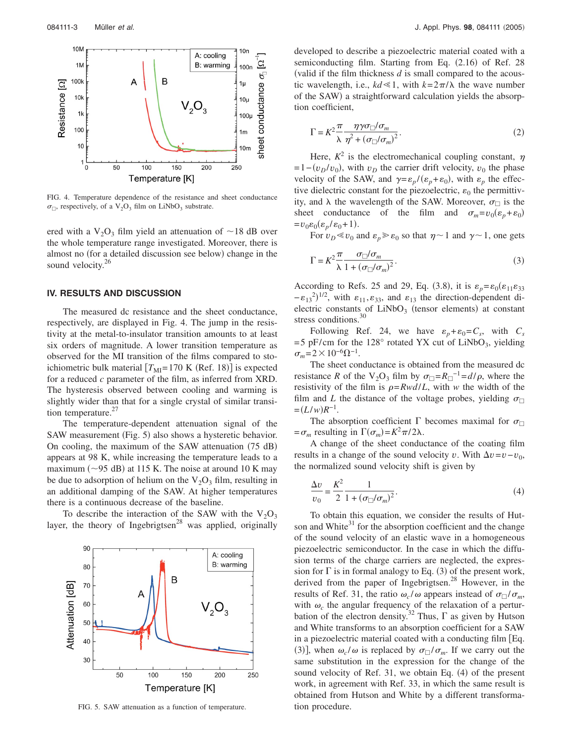

FIG. 4. Temperature dependence of the resistance and sheet conductance  $\sigma_{\Box}$ , respectively, of a V<sub>2</sub>O<sub>3</sub> film on LiNbO<sub>3</sub> substrate.

ered with a  $V_2O_3$  film yield an attenuation of  $\sim$  18 dB over the whole temperature range investigated. Moreover, there is almost no (for a detailed discussion see below) change in the sound velocity.<sup>26</sup>

#### **IV. RESULTS AND DISCUSSION**

The measured dc resistance and the sheet conductance, respectively, are displayed in Fig. 4. The jump in the resistivity at the metal-to-insulator transition amounts to at least six orders of magnitude. A lower transition temperature as observed for the MI transition of the films compared to stoichiometric bulk material  $[T_{\text{MI}}=170 \text{ K (Ref. 18)}]$  is expected for a reduced *c* parameter of the film, as inferred from XRD. The hysteresis observed between cooling and warming is slightly wider than that for a single crystal of similar transition temperature. $27$ 

The temperature-dependent attenuation signal of the SAW measurement (Fig. 5) also shows a hysteretic behavior. On cooling, the maximum of the SAW attenuation (75 dB) appears at 98 K, while increasing the temperature leads to a maximum ( $\sim$ 95 dB) at 115 K. The noise at around 10 K may be due to adsorption of helium on the  $V_2O_3$  film, resulting in an additional damping of the SAW. At higher temperatures there is a continuous decrease of the baseline.

To describe the interaction of the SAW with the  $V_2O_3$ layer, the theory of Ingebrigtsen<sup>28</sup> was applied, originally



FIG. 5. SAW attenuation as a function of temperature.

developed to describe a piezoelectric material coated with a semiconducting film. Starting from Eq. (2.16) of Ref. 28 valid if the film thickness *d* is small compared to the acoustic wavelength, i.e.,  $kd \ll 1$ , with  $k = 2\pi/\lambda$  the wave number of the SAW) a straightforward calculation yields the absorption coefficient,

$$
\Gamma = K^2 \frac{\pi}{\lambda} \frac{\eta \gamma \sigma_{\square} / \sigma_m}{\eta^2 + (\sigma_{\square} / \sigma_m)^2}.
$$
\n(2)

Here,  $K^2$  is the electromechanical coupling constant,  $\eta$  $=1-(v_D/v_0)$ , with  $v_D$  the carrier drift velocity,  $v_0$  the phase velocity of the SAW, and  $\gamma = \varepsilon_p / (\varepsilon_p + \varepsilon_0)$ , with  $\varepsilon_p$  the effective dielectric constant for the piezoelectric,  $\varepsilon_0$  the permittivity, and  $\lambda$  the wavelength of the SAW. Moreover,  $\sigma_{\square}$  is the sheet conductance of the film and  $\sigma_m = v_0(\varepsilon_p + \varepsilon_0)$  $=v_0 \varepsilon_0 (\varepsilon_p/\varepsilon_0+1).$ 

For  $v_D \ll v_0$  and  $\varepsilon_p \gg \varepsilon_0$  so that  $\eta \sim 1$  and  $\gamma \sim 1$ , one gets

$$
\Gamma = K^2 \frac{\pi}{\lambda} \frac{\sigma_{\square}/\sigma_m}{1 + (\sigma_{\square}/\sigma_m)^2}.
$$
\n(3)

According to Refs. 25 and 29, Eq. (3.8), it is  $\varepsilon_p = \varepsilon_0(\varepsilon_{11}\varepsilon_{33})$  $-\epsilon_{13}^{2})^{1/2}$ , with  $\epsilon_{11}, \epsilon_{33}$ , and  $\epsilon_{13}$  the direction-dependent dielectric constants of  $LiNbO<sub>3</sub>$  (tensor elements) at constant stress conditions.<sup>30</sup>

Following Ref. 24, we have  $\varepsilon_p + \varepsilon_0 = C_s$ , with  $C_s$  $=$  5 pF/cm for the 128 $\degree$  rotated YX cut of LiNbO<sub>3</sub>, yielding  $\sigma_m = 2 \times 10^{-6} \Omega^{-1}$ .

The sheet conductance is obtained from the measured dc resistance *R* of the V<sub>2</sub>O<sub>3</sub> film by  $\sigma_{\Box} = R_{\Box}^{-1} = d/\rho$ , where the resistivity of the film is  $\rho = Rwd/L$ , with *w* the width of the film and *L* the distance of the voltage probes, yielding  $\sigma_{\Box}$  $=(L/w)R^{-1}.$ 

The absorption coefficient  $\Gamma$  becomes maximal for  $\sigma_{\Box}$  $= \sigma_m$  resulting in  $\Gamma(\sigma_m) = K^2 \pi / 2\lambda$ .

A change of the sheet conductance of the coating film results in a change of the sound velocity *v*. With  $\Delta v = v - v_0$ , the normalized sound velocity shift is given by

$$
\frac{\Delta v}{v_0} = \frac{K^2}{2} \frac{1}{1 + (\sigma_{\Box}/\sigma_m)^2}.
$$
 (4)

To obtain this equation, we consider the results of Hutson and White $31$  for the absorption coefficient and the change of the sound velocity of an elastic wave in a homogeneous piezoelectric semiconductor. In the case in which the diffusion terms of the charge carriers are neglected, the expression for  $\Gamma$  is in formal analogy to Eq. (3) of the present work, derived from the paper of Ingebrigtsen.<sup>28</sup> However, in the results of Ref. 31, the ratio  $\omega_c/\omega$  appears instead of  $\sigma_{\Box}/\sigma_m$ , with  $\omega_c$  the angular frequency of the relaxation of a perturbation of the electron density.<sup>32</sup> Thus,  $\Gamma$  as given by Hutson and White transforms to an absorption coefficient for a SAW in a piezoelectric material coated with a conducting film Eq. (3)], when  $\omega_c/\omega$  is replaced by  $\sigma_{\square}/\sigma_m$ . If we carry out the same substitution in the expression for the change of the sound velocity of Ref. 31, we obtain Eq. (4) of the present work, in agreement with Ref. 33, in which the same result is obtained from Hutson and White by a different transformation procedure.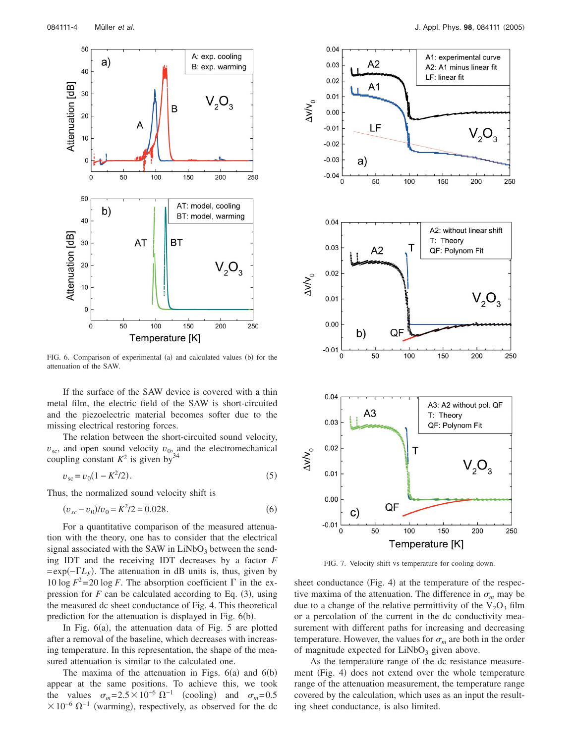

FIG. 6. Comparison of experimental (a) and calculated values (b) for the attenuation of the SAW.

If the surface of the SAW device is covered with a thin metal film, the electric field of the SAW is short-circuited and the piezoelectric material becomes softer due to the missing electrical restoring forces.

The relation between the short-circuited sound velocity,  $v_{\rm sc}$ , and open sound velocity  $v_0$ , and the electromechanical coupling constant  $K^2$  is given by<sup>34</sup>

$$
v_{\rm sc} = v_0 (1 - K^2 / 2). \tag{5}
$$

Thus, the normalized sound velocity shift is

$$
(v_{sc} - v_0)/v_0 = K^2/2 = 0.028.
$$
 (6)

For a quantitative comparison of the measured attenuation with the theory, one has to consider that the electrical signal associated with the SAW in  $LiNbO<sub>3</sub>$  between the sending IDT and the receiving IDT decreases by a factor *F*  $=$ exp( $-TL_F$ ). The attenuation in dB units is, thus, given by 10 log  $F^2 = 20 \log F$ . The absorption coefficient  $\Gamma$  in the expression for  $F$  can be calculated according to Eq.  $(3)$ , using the measured dc sheet conductance of Fig. 4. This theoretical prediction for the attenuation is displayed in Fig. 6(b).

In Fig.  $6(a)$ , the attenuation data of Fig. 5 are plotted after a removal of the baseline, which decreases with increasing temperature. In this representation, the shape of the measured attenuation is similar to the calculated one.

The maxima of the attenuation in Figs.  $6(a)$  and  $6(b)$ appear at the same positions. To achieve this, we took the values  $\sigma_m = 2.5 \times 10^{-6} \Omega^{-1}$  (cooling) and  $\sigma_m = 0.5$  $\times 10^{-6} \Omega^{-1}$  (warming), respectively, as observed for the dc



FIG. 7. Velocity shift vs temperature for cooling down.

sheet conductance (Fig. 4) at the temperature of the respective maxima of the attenuation. The difference in  $\sigma_m$  may be due to a change of the relative permittivity of the  $V_2O_3$  film or a percolation of the current in the dc conductivity measurement with different paths for increasing and decreasing temperature. However, the values for  $\sigma_m$  are both in the order of magnitude expected for  $LiNbO<sub>3</sub>$  given above.

As the temperature range of the dc resistance measurement (Fig. 4) does not extend over the whole temperature range of the attenuation measurement, the temperature range covered by the calculation, which uses as an input the resulting sheet conductance, is also limited.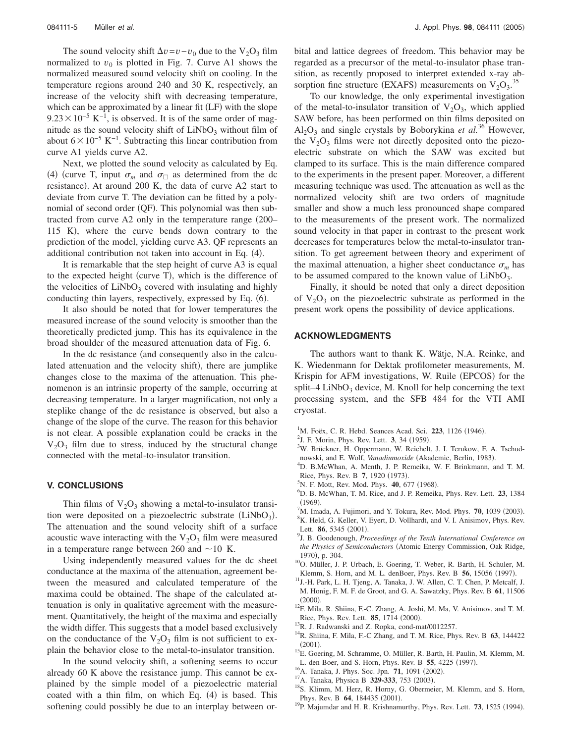The sound velocity shift  $\Delta v = v - v_0$  due to the V<sub>2</sub>O<sub>3</sub> film normalized to  $v_0$  is plotted in Fig. 7. Curve A1 shows the normalized measured sound velocity shift on cooling. In the temperature regions around 240 and 30 K, respectively, an increase of the velocity shift with decreasing temperature, which can be approximated by a linear fit  $(LF)$  with the slope  $9.23 \times 10^{-5}$  K<sup>-1</sup>, is observed. It is of the same order of magnitude as the sound velocity shift of  $LiNbO<sub>3</sub>$  without film of about  $6\times10^{-5}$  K<sup>-1</sup>. Subtracting this linear contribution from curve A1 yields curve A2.

Next, we plotted the sound velocity as calculated by Eq. (4) (curve T, input  $\sigma_m$  and  $\sigma_{\square}$  as determined from the dc resistance). At around 200 K, the data of curve A2 start to deviate from curve T. The deviation can be fitted by a polynomial of second order (QF). This polynomial was then subtracted from curve A2 only in the temperature range  $(200-$ 115 K), where the curve bends down contrary to the prediction of the model, yielding curve A3. QF represents an additional contribution not taken into account in Eq. (4).

It is remarkable that the step height of curve A3 is equal to the expected height (curve T), which is the difference of the velocities of  $LiNbO<sub>3</sub>$  covered with insulating and highly conducting thin layers, respectively, expressed by Eq. (6).

It also should be noted that for lower temperatures the measured increase of the sound velocity is smoother than the theoretically predicted jump. This has its equivalence in the broad shoulder of the measured attenuation data of Fig. 6.

In the dc resistance (and consequently also in the calculated attenuation and the velocity shift), there are jumplike changes close to the maxima of the attenuation. This phenomenon is an intrinsic property of the sample, occurring at decreasing temperature. In a larger magnification, not only a steplike change of the dc resistance is observed, but also a change of the slope of the curve. The reason for this behavior is not clear. A possible explanation could be cracks in the  $V_2O_3$  film due to stress, induced by the structural change connected with the metal-to-insulator transition.

#### **V. CONCLUSIONS**

Thin films of  $V_2O_3$  showing a metal-to-insulator transition were deposited on a piezoelectric substrate  $(LiNbO<sub>3</sub>)$ . The attenuation and the sound velocity shift of a surface acoustic wave interacting with the  $V_2O_3$  film were measured in a temperature range between 260 and  $\sim$  10 K.

Using independently measured values for the dc sheet conductance at the maxima of the attenuation, agreement between the measured and calculated temperature of the maxima could be obtained. The shape of the calculated attenuation is only in qualitative agreement with the measurement. Quantitatively, the height of the maxima and especially the width differ. This suggests that a model based exclusively on the conductance of the  $V_2O_3$  film is not sufficient to explain the behavior close to the metal-to-insulator transition.

In the sound velocity shift, a softening seems to occur already 60 K above the resistance jump. This cannot be explained by the simple model of a piezoelectric material coated with a thin film, on which Eq. (4) is based. This softening could possibly be due to an interplay between orbital and lattice degrees of freedom. This behavior may be regarded as a precursor of the metal-to-insulator phase transition, as recently proposed to interpret extended x-ray absorption fine structure (EXAFS) measurements on  $V_2O_3$ .<sup>35</sup>

To our knowledge, the only experimental investigation of the metal-to-insulator transition of  $V_2O_3$ , which applied SAW before, has been performed on thin films deposited on  $Al_2O_3$  and single crystals by Boborykina *et al.*<sup>36</sup> However, the  $V_2O_3$  films were not directly deposited onto the piezoelectric substrate on which the SAW was excited but clamped to its surface. This is the main difference compared to the experiments in the present paper. Moreover, a different measuring technique was used. The attenuation as well as the normalized velocity shift are two orders of magnitude smaller and show a much less pronounced shape compared to the measurements of the present work. The normalized sound velocity in that paper in contrast to the present work decreases for temperatures below the metal-to-insulator transition. To get agreement between theory and experiment of the maximal attenuation, a higher sheet conductance  $\sigma_m$  has to be assumed compared to the known value of  $LiNbO<sub>3</sub>$ .

Finally, it should be noted that only a direct deposition of  $V_2O_3$  on the piezoelectric substrate as performed in the present work opens the possibility of device applications.

#### **ACKNOWLEDGMENTS**

The authors want to thank K. Wätje, N.A. Reinke, and K. Wiedenmann for Dektak profilometer measurements, M. Krispin for AFM investigations, W. Ruile (EPCOS) for the split–4 LiNbO<sub>3</sub> device, M. Knoll for help concerning the text processing system, and the SFB 484 for the VTI AMI cryostat.

- <sup>1</sup>M. Foëx, C. R. Hebd. Seances Acad. Sci. 223, 1126 (1946).
- <sup>2</sup>J. F. Morin, Phys. Rev. Lett. **3**, 34 (1959).
- <sup>3</sup>W. Brückner, H. Oppermann, W. Reichelt, J. I. Terukow, F. A. Tschudnowski, and E. Wolf, *Vanadiumoxide* (Akademie, Berlin, 1983).
- D. B.McWhan, A. Menth, J. P. Remeika, W. F. Brinkmann, and T. M. Rice, Phys. Rev. B 7, 1920 (1973).
- <sup>5</sup>N. F. Mott, Rev. Mod. Phys. **40**, 677 (1968).
- D. B. McWhan, T. M. Rice, and J. P. Remeika, Phys. Rev. Lett. **23**, 1384  $(1969)$ .<br><sup>7</sup>M Ime
- <sup>M</sup>. Imada, A. Fujimori, and Y. Tokura, Rev. Mod. Phys. **70**, 1039 (2003).<br><sup>8</sup>V. Hold, G. Kollar, V. Evert, D. Vollbergt, and V. J. Anisimov. Phys. Boy. <sup>8</sup>K. Held, G. Keller, V. Eyert, D. Vollhardt, and V. I. Anisimov, Phys. Rev.
- Lett. **86**, 5345 (2001). J. B. Goodenough, *Proceedings of the Tenth International Conference on the Physics of Semiconductors* Atomic Energy Commission, Oak Ridge, 1970), p. 304.
- <sup>10</sup>O. Müller, J. P. Urbach, E. Goering, T. Weber, R. Barth, H. Schuler, M. Klemm, S. Horn, and M. L. denBoer, Phys. Rev. B 56, 15056 (1997).
- <sup>11</sup>J.-H. Park, L. H. Tjeng, A. Tanaka, J. W. Allen, C. T. Chen, P. Metcalf, J. M. Honig, F. M. F. de Groot, and G. A. Sawatzky, Phys. Rev. B **61**, 11506  $(2000)$ .
- $^{12}$ F. Mila, R. Shiina, F.-C. Zhang, A. Joshi, M. Ma, V. Anisimov, and T. M. Rice, Phys. Rev. Lett. **85**, 1714 (2000).
- <sup>13</sup>R. J. Radwanski and Z. Ropka, cond-mat/0012257.
- 14R. Shiina, F. Mila, F.-C Zhang, and T. M. Rice, Phys. Rev. B **63**, 144422  $(2001)$ .
- <sup>15</sup>E. Goering, M. Schramme, O. Müller, R. Barth, H. Paulin, M. Klemm, M. L. den Boer, and S. Horn, Phys. Rev. B 55, 4225 (1997).
- <sup>16</sup>A. Tanaka, J. Phys. Soc. Jpn. **71**, 1091 (2002).
- <sup>17</sup>A. Tanaka, Physica B **329-333**, 753 (2003).
- <sup>18</sup>S. Klimm, M. Herz, R. Horny, G. Obermeier, M. Klemm, and S. Horn, Phys. Rev. B 64, 184435 (2001).
- Phys. Rev. B **64**, 184435 (2001).<br><sup>19</sup>P. Majumdar and H. R. Krishnamurthy, Phys. Rev. Lett. **73**, 1525 (1994).